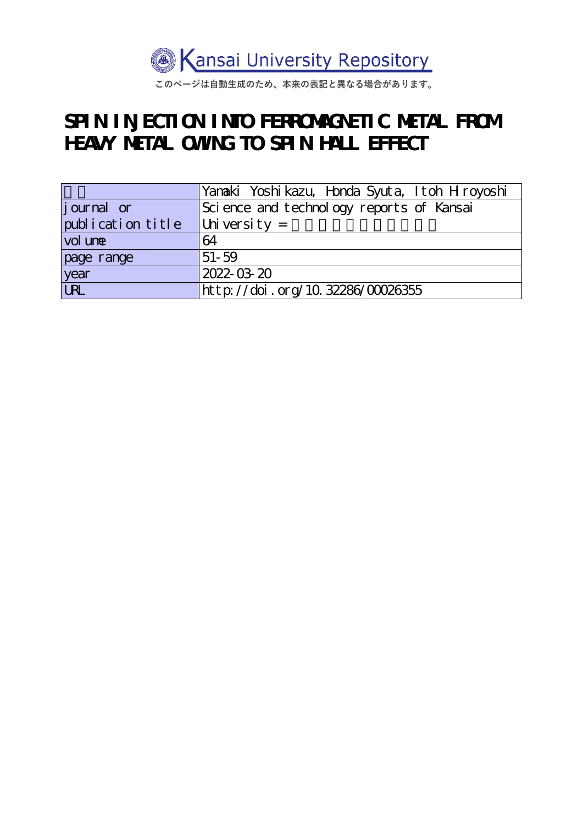

このページは自動生成のため、本来の表記と異なる場合があります。

# **SPIN INJECTION INTO FERROMAGNETIC METAL FROM HEAVY METAL OWING TO SPIN HALL EFFECT**

|                   | Yanaki Yoshikazu, Honda Syuta, Itoh Hroyoshi |
|-------------------|----------------------------------------------|
| journal or        | Science and technology reports of Kansai     |
| publication title | $ $ University =                             |
| vol une           | 64                                           |
| page range        | $51 - 59$                                    |
| year<br>URL       | 2022-03-20                                   |
|                   | http://doi.org/10.32286/00026355             |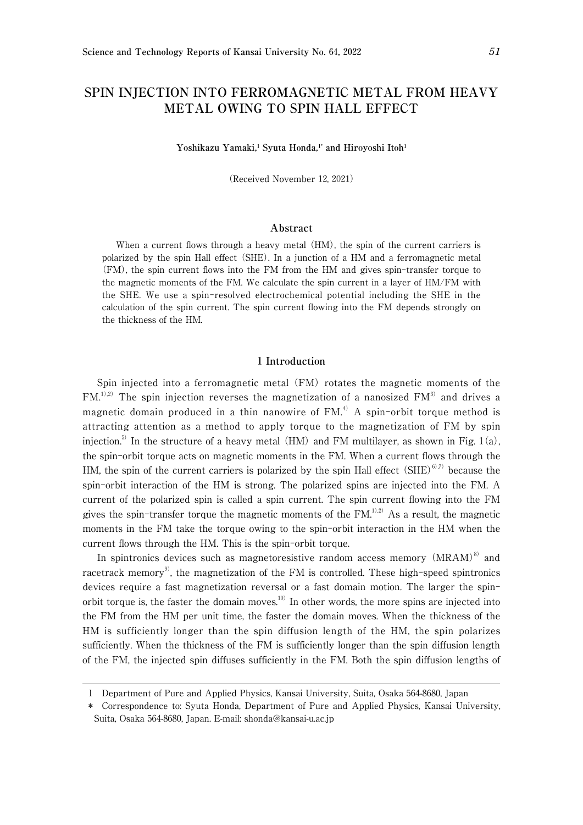## **SPIN INJECTION INTO FERROMAGNETIC METAL FROM HEAVY METAL OWING TO SPIN HALL EFFECT**

Yoshikazu Yamaki,<sup>1</sup> Syuta Honda,<sup>1\*</sup> and Hiroyoshi Itoh<sup>1</sup>

(Received November 12, 2021)

### **Abstract**

When a current flows through a heavy metal (HM), the spin of the current carriers is polarized by the spin Hall effect (SHE). In a junction of a HM and a ferromagnetic metal (FM), the spin current flows into the FM from the HM and gives spin-transfer torque to the magnetic moments of the FM. We calculate the spin current in a layer of HM/FM with the SHE. We use a spin-resolved electrochemical potential including the SHE in the calculation of the spin current. The spin current flowing into the FM depends strongly on the thickness of the HM.

#### 1 **Introduction**

Spin injected into a ferromagnetic metal (FM) rotates the magnetic moments of the  $FM<sub>1</sub><sup>1),2)</sup>$  The spin injection reverses the magnetization of a nanosized  $FM<sub>3</sub><sup>3</sup>$  and drives a magnetic domain produced in a thin nanowire of  $FM<sup>4</sup>$ . A spin-orbit torque method is attracting attention as a method to apply torque to the magnetization of FM by spin injection.<sup>5)</sup> In the structure of a heavy metal (HM) and FM multilayer, as shown in Fig. 1(a), the spin-orbit torque acts on magnetic moments in the FM. When a current flows through the HM, the spin of the current carriers is polarized by the spin Hall effect  $(SHE)^{6,7}$  because the spin-orbit interaction of the HM is strong. The polarized spins are injected into the FM. A current of the polarized spin is called a spin current. The spin current flowing into the FM gives the spin-transfer torque the magnetic moments of the  $FM<sub>1</sub><sup>1,2)</sup>$  As a result, the magnetic moments in the FM take the torque owing to the spin-orbit interaction in the HM when the current flows through the HM. This is the spin-orbit torque.

In spintronics devices such as magnetoresistive random access memory  $(MRAM)^8$  and racetrack memory<sup>9)</sup>, the magnetization of the FM is controlled. These high-speed spintronics devices require a fast magnetization reversal or a fast domain motion. The larger the spinorbit torque is, the faster the domain moves.<sup>10)</sup> In other words, the more spins are injected into the FM from the HM per unit time, the faster the domain moves. When the thickness of the HM is sufficiently longer than the spin diffusion length of the HM, the spin polarizes sufficiently. When the thickness of the FM is sufficiently longer than the spin diffusion length of the FM, the injected spin diffuses sufficiently in the FM. Both the spin diffusion lengths of

<sup>1</sup> Department of Pure and Applied Physics, Kansai University, Suita, Osaka 564-8680, Japan

<sup>\*</sup> Correspondence to: Syuta Honda, Department of Pure and Applied Physics, Kansai University, Suita, Osaka 564-8680, Japan. E-mail: shonda@kansai-u.ac.jp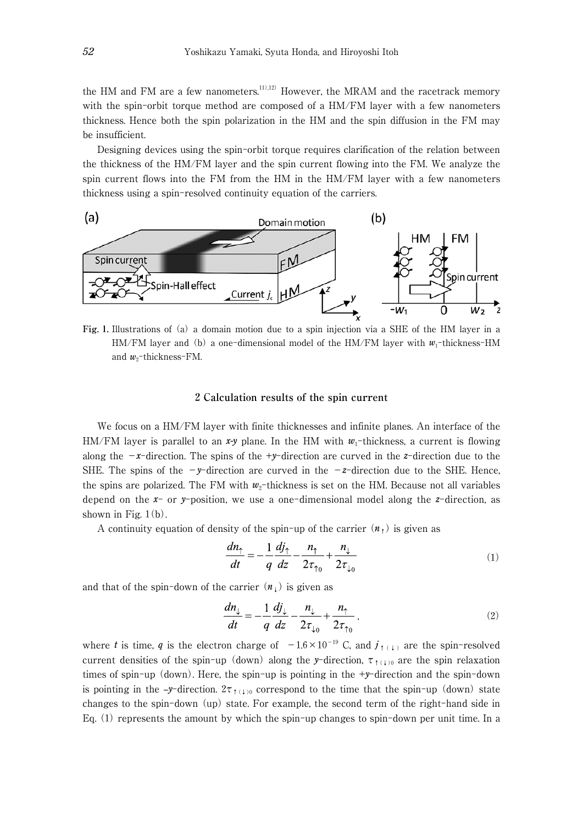the HM and FM are a few nanometers.<sup>11),12)</sup> However, the MRAM and the racetrack memory with the spin-orbit torque method are composed of a HM/FM layer with a few nanometers thickness. Hence both the spin polarization in the HM and the spin diffusion in the FM may be insufficient.

Designing devices using the spin-orbit torque requires clarification of the relation between the thickness of the HM/FM layer and the spin current flowing into the FM. We analyze the spin current flows into the FM from the HM in the HM/FM layer with a few nanometers thickness using a spin-resolved continuity equation of the carriers.



**Fig.** 1**.** Illustrations of (a) a domain motion due to a spin injection via a SHE of the HM layer in a  $HM/FM$  layer and (b) a one-dimensional model of the  $HM/FM$  layer with  $w_1$ -thickness-HM and  $w_2$ -thickness-FM.

#### 2 **Calculation results of the spin current**

We focus on a HM/FM layer with finite thicknesses and infinite planes. An interface of the HM/FM layer is parallel to an  $x-y$  plane. In the HM with  $w_1$ -thickness, a current is flowing along the  $-x$ -direction. The spins of the  $+y$ -direction are curved in the *z*-direction due to the SHE. The spins of the  $-y$ -direction are curved in the  $-z$ -direction due to the SHE. Hence, the spins are polarized. The FM with  $w_2$ -thickness is set on the HM. Because not all variables depend on the *x*- or *y*-position, we use a one-dimensional model along the *z*-direction, as shown in Fig.  $1(b)$ .

A continuity equation of density of the spin-up of the carrier  $(n_1)$  is given as

$$
\frac{dn_{\uparrow}}{dt} = -\frac{1}{q} \frac{dj_{\uparrow}}{dz} - \frac{n_{\uparrow}}{2\tau_{\uparrow 0}} + \frac{n_{\downarrow}}{2\tau_{\downarrow 0}} \tag{1}
$$

and that of the spin-down of the carrier  $(n_1)$  is given as

$$
\frac{dn_{\downarrow}}{dt} = -\frac{1}{q}\frac{dj_{\downarrow}}{dz} - \frac{n_{\downarrow}}{2\tau_{\downarrow 0}} + \frac{n_{\uparrow}}{2\tau_{\uparrow 0}}\,,\tag{2}
$$

where *t* is time, *q* is the electron charge of  $-1.6 \times 10^{-19}$  C, and  $j_{\uparrow(\downarrow)}$  are the spin-resolved current densities of the spin-up (down) along the *y*-direction,  $\tau_{\uparrow(1)0}$  are the spin relaxation times of spin-up (down). Here, the spin-up is pointing in the +*y*-direction and the spin-down is pointing in the –*y*-direction.  $2\tau_{(1)}$  correspond to the time that the spin-up (down) state changes to the spin-down (up) state. For example, the second term of the right-hand side in Eq. (1) represents the amount by which the spin-up changes to spin-down per unit time. In a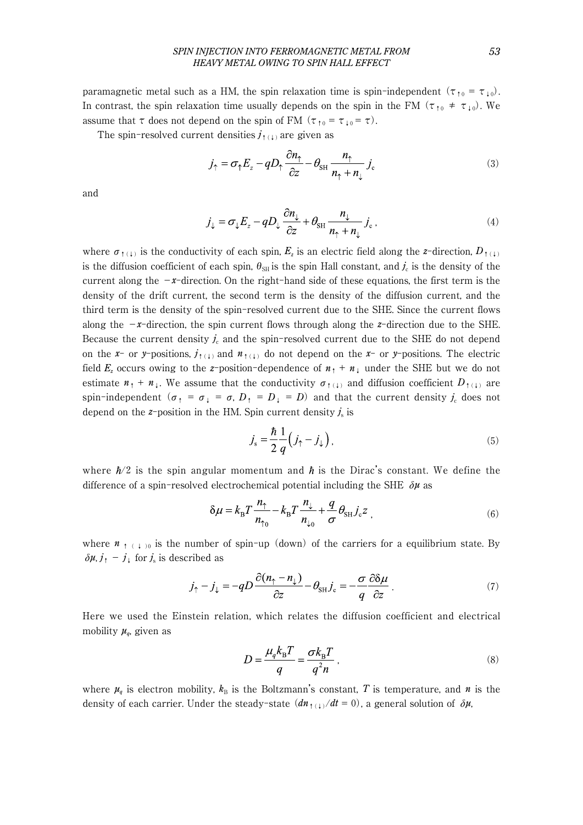#### *SPIN INJECTION INTO FERROMAGNETIC METAL FROM 53 HEAVY METAL OWING TO SPIN HALL EFFECT*

paramagnetic metal such as a HM, the spin relaxation time is spin-independent  $(\tau_{10} = \tau_{10})$ . In contrast, the spin relaxation time usually depends on the spin in the FM ( $\tau_{10} \neq \tau_{10}$ ). We assume that  $\tau$  does not depend on the spin of FM ( $\tau_{\uparrow 0} = \tau_{\downarrow 0} = \tau$ ).

The spin-resolved current densities  $j_{\uparrow(\downarrow)}$  are given as

$$
j_{\uparrow} = \sigma_{\uparrow} E_z - q D_{\uparrow} \frac{\partial n_{\uparrow}}{\partial z} - \theta_{\text{SH}} \frac{n_{\uparrow}}{n_{\uparrow} + n_{\downarrow}} j_{\text{c}}
$$
(3)

and

$$
j_{\downarrow} = \sigma_{\downarrow} E_z - q D_{\downarrow} \frac{\partial n_{\downarrow}}{\partial z} + \theta_{\text{SH}} \frac{n_{\downarrow}}{n_{\uparrow} + n_{\downarrow}} j_{\text{c}} \,, \tag{4}
$$

where  $\sigma_{\uparrow(\downarrow)}$  is the conductivity of each spin,  $E_z$  is an electric field along the *z*-direction,  $D_{\uparrow(\downarrow)}$ is the diffusion coefficient of each spin,  $\theta_{\text{SH}}$  is the spin Hall constant, and  $j_c$  is the density of the current along the  $-x$ -direction. On the right-hand side of these equations, the first term is the density of the drift current, the second term is the density of the diffusion current, and the third term is the density of the spin-resolved current due to the SHE. Since the current flows along the  $-x$ -direction, the spin current flows through along the *z*-direction due to the SHE. Because the current density  $j_c$  and the spin-resolved current due to the SHE do not depend on the *x*- or *y*-positions,  $j_{\uparrow(\downarrow)}$  and  $n_{\uparrow(\downarrow)}$  do not depend on the *x*- or *y*-positions. The electric field  $E_z$  occurs owing to the *z*-position-dependence of  $n_1 + n_1$  under the SHE but we do not estimate  $n_1 + n_1$ . We assume that the conductivity  $\sigma_{\uparrow(1)}$  and diffusion coefficient  $D_{\uparrow(1)}$  are spin-independent ( $\sigma_1 = \sigma_1 = \sigma$ ,  $D_1 = D_1 = D$ ) and that the current density  $j_c$  does not depend on the  $z$ -position in the HM. Spin current density  $j_s$  is

$$
j_s = \frac{\hbar}{2} \frac{1}{q} \left( j_\uparrow - j_\downarrow \right),\tag{5}
$$

where  $\hbar/2$  is the spin angular momentum and  $\hbar$  is the Dirac's constant. We define the difference of a spin-resolved electrochemical potential including the SHE  $\delta\mu$  as

$$
\delta \mu = k_{\rm B} T \frac{n_{\uparrow}}{n_{\uparrow 0}} - k_{\rm B} T \frac{n_{\downarrow}}{n_{\downarrow 0}} + \frac{q}{\sigma} \theta_{\rm SH} j_{\rm c} z \tag{6}
$$

where  $n_{+++}$ <sub>0</sub> is the number of spin-up (down) of the carriers for a equilibrium state. By  $\delta \mu$ ,  $j_1 - j_1$  for  $j_s$  is described as

$$
j_{\uparrow} - j_{\downarrow} = -qD \frac{\partial (n_{\uparrow} - n_{\downarrow})}{\partial z} - \theta_{\text{SH}} j_{\text{c}} = -\frac{\sigma}{q} \frac{\partial \delta \mu}{\partial z}.
$$
 (7)

Here we used the Einstein relation, which relates the diffusion coefficient and electrical mobility  $\mu_{q}$ , given as

$$
D = \frac{\mu_q k_B T}{q} = \frac{\sigma k_B T}{q^2 n} \,,\tag{8}
$$

where  $\mu_q$  is electron mobility,  $k_B$  is the Boltzmann's constant, T is temperature, and  $n$  is the density of each carrier. Under the steady-state  $(dn_{\uparrow(\downarrow)}/dt = 0)$ , a general solution of  $\delta \mu$ ,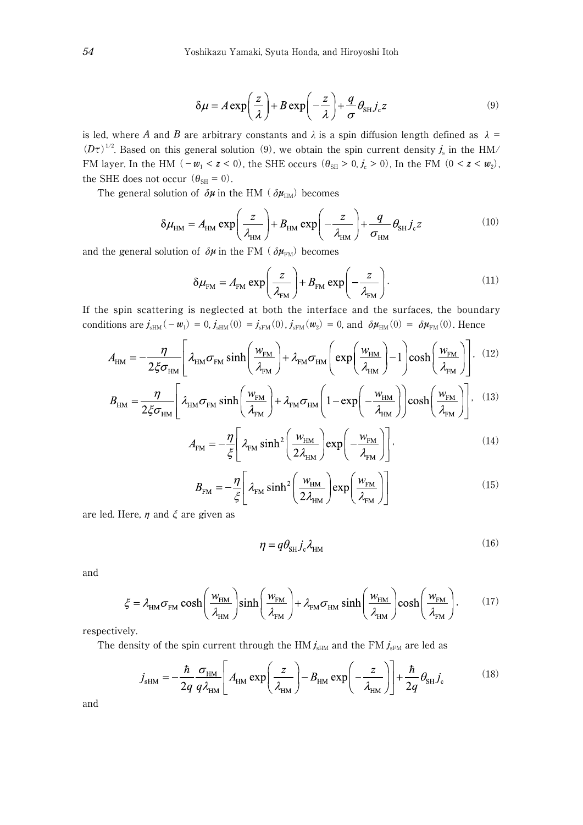$$
\delta \mu = A \exp\left(\frac{z}{\lambda}\right) + B \exp\left(-\frac{z}{\lambda}\right) + \frac{q}{\sigma} \theta_{\text{SH}} j_c z \tag{9}
$$

is led, where *A* and *B* are arbitrary constants and  $\lambda$  is a spin diffusion length defined as  $\lambda$  =  $(D\tau)^{1/2}$ . Based on this general solution (9), we obtain the spin current density  $j_s$  in the HM/ FM layer. In the HM  $(-w_1 < z < 0)$ , the SHE occurs  $(\theta_{\text{SH}} > 0, j_c > 0)$ , In the FM  $(0 < z < w_2)$ , the SHE does not occur  $(\theta_{\text{SH}} = 0)$ .

The general solution of  $\delta \mu$  in the HM ( $\delta \mu_{\text{HM}}$ ) becomes

$$
\delta \mu_{\rm HM} = A_{\rm HM} \exp\left(\frac{z}{\lambda_{\rm HM}}\right) + B_{\rm HM} \exp\left(-\frac{z}{\lambda_{\rm HM}}\right) + \frac{q}{\sigma_{\rm HM}} \theta_{\rm SH} j_{\rm c} z \tag{10}
$$

and the general solution of  $\delta \mu$  in the FM ( $\delta \mu_{\text{FM}}$ ) becomes

$$
\delta \mu_{\text{FM}} = A_{\text{FM}} \exp\left(\frac{z}{\lambda_{\text{FM}}}\right) + B_{\text{FM}} \exp\left(-\frac{z}{\lambda_{\text{FM}}}\right). \tag{11}
$$

If the spin scattering is neglected at both the interface and the surfaces, the boundary conditions are  $j_{sHM}(-w_1) = 0$ ,  $j_{sHM}(0) = j_{sFM}(0)$ ,  $j_{sFM}(w_2) = 0$ , and  $\delta \mu_{HM}(0) = \delta \mu_{FM}(0)$ . Hence

$$
A_{\text{HM}} = -\frac{\eta}{2\xi\sigma_{\text{HM}}}\left[\lambda_{\text{HM}}\sigma_{\text{FM}}\sinh\left(\frac{w_{\text{FM}}}{\lambda_{\text{FM}}}\right) + \lambda_{\text{FM}}\sigma_{\text{HM}}\left(\exp\left(\frac{w_{\text{HM}}}{\lambda_{\text{HM}}}\right) - 1\right)\cosh\left(\frac{w_{\text{FM}}}{\lambda_{\text{FM}}}\right)\right].
$$
 (12)

$$
B_{\text{HM}} = \frac{\eta}{2\xi\sigma_{\text{HM}}} \left[ \lambda_{\text{HM}}\sigma_{\text{FM}}\sinh\left(\frac{w_{\text{FM}}}{\lambda_{\text{FM}}} \right) + \lambda_{\text{FM}}\sigma_{\text{HM}} \left(1 - \exp\left(-\frac{w_{\text{HM}}}{\lambda_{\text{HM}}} \right) \right) \cosh\left(\frac{w_{\text{FM}}}{\lambda_{\text{FM}}} \right) \right].
$$
 (13)

$$
A_{\text{FM}} = -\frac{\eta}{\xi} \left[ \lambda_{\text{FM}} \sinh^2 \left( \frac{w_{\text{HM}}}{2\lambda_{\text{HM}}} \right) \exp \left( -\frac{w_{\text{FM}}}{\lambda_{\text{FM}}} \right) \right],\tag{14}
$$

$$
B_{\text{FM}} = -\frac{\eta}{\xi} \left[ \lambda_{\text{FM}} \sinh^2 \left( \frac{w_{\text{HM}}}{2\lambda_{\text{HM}}} \right) \exp \left( \frac{w_{\text{FM}}}{\lambda_{\text{FM}}} \right) \right]
$$
(15)

are led. Here,  $\eta$  and  $\xi$  are given as

$$
\eta = q\theta_{\rm SH} j_{\rm c} \lambda_{\rm HM} \tag{16}
$$

and

$$
\xi = \lambda_{\text{HM}} \sigma_{\text{FM}} \cosh\left(\frac{w_{\text{HM}}}{\lambda_{\text{HM}}}\right) \sinh\left(\frac{w_{\text{FM}}}{\lambda_{\text{FM}}}\right) + \lambda_{\text{FM}} \sigma_{\text{HM}} \sinh\left(\frac{w_{\text{HM}}}{\lambda_{\text{HM}}}\right) \cosh\left(\frac{w_{\text{FM}}}{\lambda_{\text{FM}}}\right),\tag{17}
$$

respectively.

The density of the spin current through the HM  $j_{\text{slim}}$  and the FM  $j_{\text{slim}}$  are led as

$$
j_{\text{sHM}} = -\frac{\hbar}{2q} \frac{\sigma_{\text{HM}}}{q \lambda_{\text{HM}}} \left[ A_{\text{HM}} \exp\left(\frac{z}{\lambda_{\text{HM}}}\right) - B_{\text{HM}} \exp\left(-\frac{z}{\lambda_{\text{HM}}}\right) \right] + \frac{\hbar}{2q} \theta_{\text{SH}} j_{\text{c}} \tag{18}
$$

and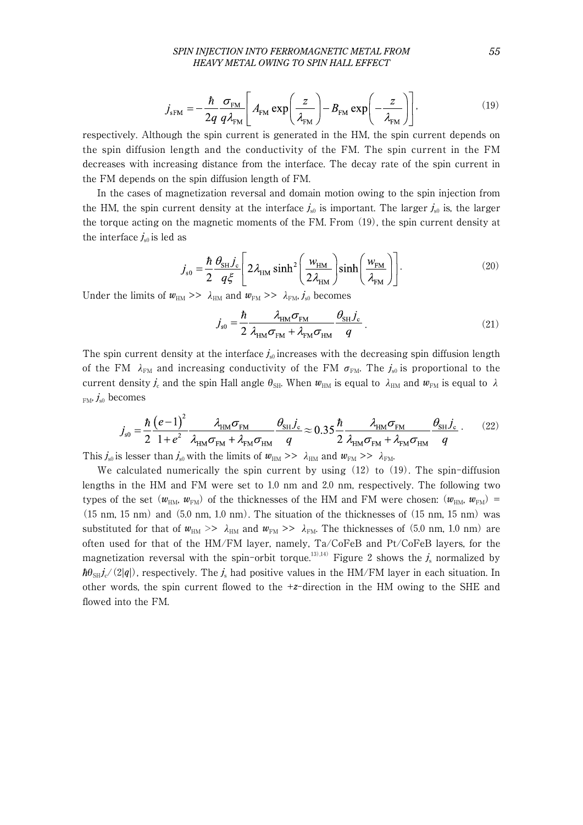#### *SPIN INJECTION INTO FERROMAGNETIC METAL FROM 55 HEAVY METAL OWING TO SPIN HALL EFFECT*

$$
j_{sFM} = -\frac{\hbar}{2q} \frac{\sigma_{FM}}{q \lambda_{FM}} \left[ A_{FM} \exp\left(\frac{z}{\lambda_{FM}}\right) - B_{FM} \exp\left(-\frac{z}{\lambda_{FM}}\right) \right],
$$
 (19)

respectively. Although the spin current is generated in the HM, the spin current depends on the spin diffusion length and the conductivity of the FM. The spin current in the FM decreases with increasing distance from the interface. The decay rate of the spin current in the FM depends on the spin diffusion length of FM.

In the cases of magnetization reversal and domain motion owing to the spin injection from the HM, the spin current density at the interface  $j_{s0}$  is important. The larger  $j_{s0}$  is, the larger the torque acting on the magnetic moments of the FM. From (19), the spin current density at the interface  $j<sub>s0</sub>$  is led as

$$
j_{\rm s0} = \frac{\hbar}{2} \frac{\theta_{\rm SH} j_{\rm c}}{q \xi} \left[ 2 \lambda_{\rm HM} \sinh^2 \left( \frac{w_{\rm HM}}{2 \lambda_{\rm HM}} \right) \sinh \left( \frac{w_{\rm FM}}{\lambda_{\rm FM}} \right) \right]. \tag{20}
$$

Under the limits of  $w_{\text{HM}} >> \lambda_{\text{HM}}$  and  $w_{\text{FM}} >> \lambda_{\text{FM}}$ ,  $j_{\text{s0}}$  becomes

$$
j_{\rm so} = \frac{\hbar}{2} \frac{\lambda_{\rm HM} \sigma_{\rm FM}}{\lambda_{\rm HM} \sigma_{\rm FM} + \lambda_{\rm FM} \sigma_{\rm HM}} \frac{\theta_{\rm SH} j_{\rm c}}{q} \,. \tag{21}
$$

The spin current density at the interface  $j_{s0}$  increases with the decreasing spin diffusion length of the FM  $\lambda_{\text{FM}}$  and increasing conductivity of the FM  $\sigma_{\text{FM}}$ . The  $j_{s0}$  is proportional to the current density  $j_c$  and the spin Hall angle  $\theta_{\text{SH}}$ . When  $w_{\text{HM}}$  is equal to  $\lambda_{\text{HM}}$  and  $w_{\text{FM}}$  is equal to  $\lambda$  $_{FM}$ ,  $j_{s0}$  becomes

$$
j_{\rm s0} = \frac{\hbar}{2} \frac{\left(e - 1\right)^2}{1 + e^2} \frac{\lambda_{\rm HM} \sigma_{\rm FM}}{\lambda_{\rm HM} \sigma_{\rm FM} + \lambda_{\rm FM} \sigma_{\rm HM}} \frac{\theta_{\rm SH} j_{\rm c}}{q} \approx 0.35 \frac{\hbar}{2} \frac{\lambda_{\rm HM} \sigma_{\rm FM}}{\lambda_{\rm HM} \sigma_{\rm FM}} \frac{\theta_{\rm SH} j_{\rm c}}{q}. \tag{22}
$$

This  $j_{\rm s0}$  is lesser than  $j_{\rm s0}$  with the limits of  $w_{\rm HM}$  >>  $\lambda_{\rm HM}$  and  $w_{\rm FM}$  >>  $\lambda_{\rm FM}$ .

We calculated numerically the spin current by using (12) to (19). The spin-diffusion lengths in the HM and FM were set to 1.0 nm and 2.0 nm, respectively. The following two types of the set  $(w_{HM}, w_{FM})$  of the thicknesses of the HM and FM were chosen:  $(w_{HM}, w_{FM})$  = (15 nm, 15 nm) and (5.0 nm, 1.0 nm). The situation of the thicknesses of (15 nm, 15 nm) was substituted for that of  $w_{HM} \gg \lambda_{HM}$  and  $w_{FM} \gg \lambda_{FM}$ . The thicknesses of (5.0 nm, 1.0 nm) are often used for that of the HM/FM layer, namely, Ta/CoFeB and Pt/CoFeB layers, for the magnetization reversal with the spin-orbit torque.<sup>13),14)</sup> Figure 2 shows the  $j_s$  normalized by  $\hbar\theta_{\rm SH}/(2|q|)$ , respectively. The  $j_s$  had positive values in the HM/FM layer in each situation. In other words, the spin current flowed to the +*z*-direction in the HM owing to the SHE and flowed into the FM.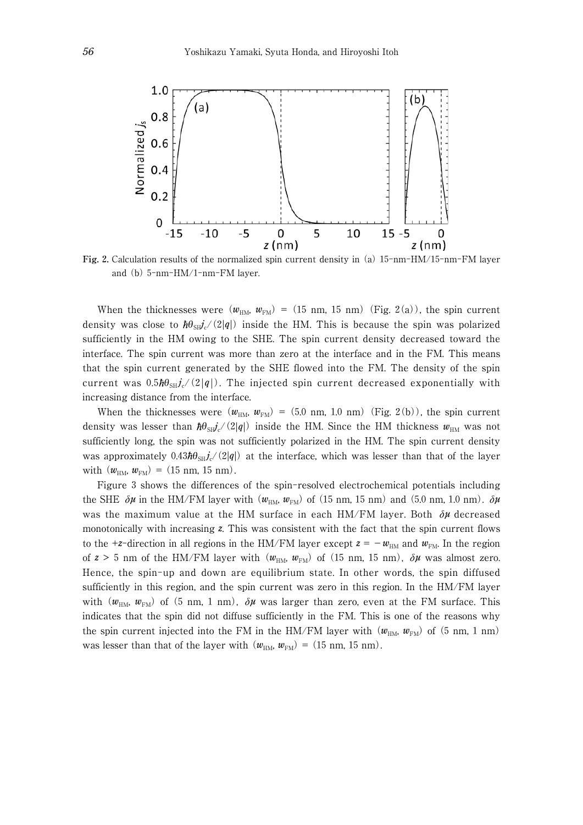

**Fig.** 2**.** Calculation results of the normalized spin current density in (a) 15-nm-HM/15-nm-FM layer and (b) 5-nm-HM/1-nm-FM layer.

When the thicknesses were  $(w_{HM}, w_{FM}) = (15 \text{ nm}, 15 \text{ nm})$  (Fig. 2(a)), the spin current density was close to  $\hbar\theta_{\text{S}}\psi$ <sup>c</sup>/(2|q|) inside the HM. This is because the spin was polarized sufficiently in the HM owing to the SHE. The spin current density decreased toward the interface. The spin current was more than zero at the interface and in the FM. This means that the spin current generated by the SHE flowed into the FM. The density of the spin current was  $0.5 \hbar \theta_{SH} \dot{j_c} / (2|q|)$ . The injected spin current decreased exponentially with increasing distance from the interface.

When the thicknesses were  $(w_{HM}, w_{FM}) = (5.0 \text{ nm}, 1.0 \text{ nm})$  (Fig. 2(b)), the spin current density was lesser than  $\hbar \theta_{SH} j_c/(2|q|)$  inside the HM. Since the HM thickness  $w_{HM}$  was not sufficiently long, the spin was not sufficiently polarized in the HM. The spin current density was approximately  $0.43\hbar\theta_{\rm sh}j_c/(2|q|)$  at the interface, which was lesser than that of the layer with  $(w_{HM}, w_{FM}) = (15 \text{ nm}, 15 \text{ nm}).$ 

Figure 3 shows the differences of the spin-resolved electrochemical potentials including the SHE  $\delta \mu$  in the HM/FM layer with ( $w_{\text{HM}}$ ,  $w_{\text{FM}}$ ) of (15 nm, 15 nm) and (5.0 nm, 1.0 nm).  $\delta \mu$ was the maximum value at the HM surface in each HM/FM layer. Both δ*μ* decreased monotonically with increasing *z*. This was consistent with the fact that the spin current flows to the +*z*-direction in all regions in the HM/FM layer except  $z = -w_{HM}$  and  $w_{FM}$ . In the region of  $z > 5$  nm of the HM/FM layer with  $(w_{HM}, w_{FM})$  of (15 nm, 15 nm),  $\delta \mu$  was almost zero. Hence, the spin-up and down are equilibrium state. In other words, the spin diffused sufficiently in this region, and the spin current was zero in this region. In the HM/FM layer with  $(w<sub>HM</sub>, w<sub>FM</sub>)$  of (5 nm, 1 nm),  $\delta \mu$  was larger than zero, even at the FM surface. This indicates that the spin did not diffuse sufficiently in the FM. This is one of the reasons why the spin current injected into the FM in the HM/FM layer with  $(w_{HM}, w_{FM})$  of (5 nm, 1 nm) was lesser than that of the layer with  $(w_{HM}, w_{FM}) = (15 \text{ nm}, 15 \text{ nm}).$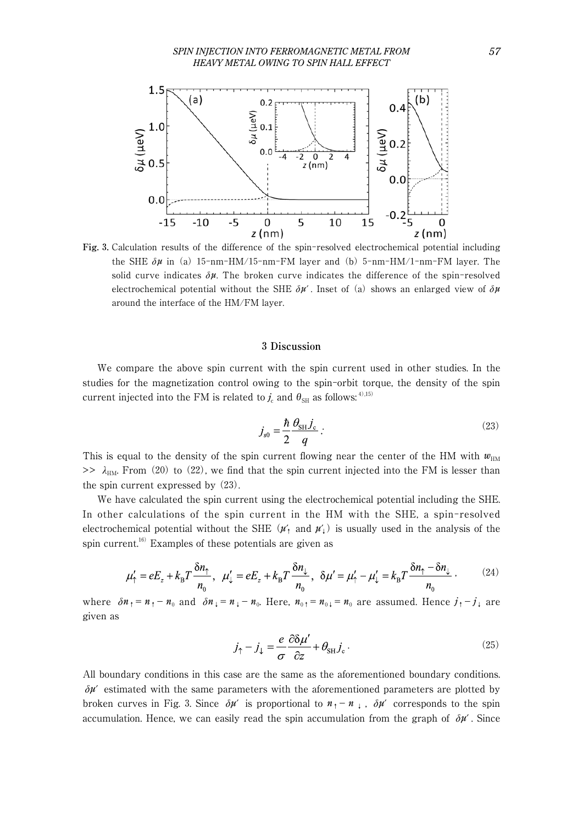

**Fig.** 3**.** Calculation results of the difference of the spin-resolved electrochemical potential including the SHE  $\delta \mu$  in (a) 15-nm-HM/15-nm-FM layer and (b) 5-nm-HM/1-nm-FM layer. The solid curve indicates  $\delta \mu$ . The broken curve indicates the difference of the spin-resolved electrochemical potential without the SHE  $\delta \mu'$ . Inset of (a) shows an enlarged view of  $\delta \mu$ around the interface of the HM/FM layer.

#### 3 **Discussion**

We compare the above spin current with the spin current used in other studies. In the studies for the magnetization control owing to the spin-orbit torque, the density of the spin current injected into the FM is related to  $j_c$  and  $\theta_{\text{SH}}$  as follows: <sup>4),15)</sup>

$$
j_{s0} = \frac{\hbar}{2} \frac{\theta_{\text{SH}} j_c}{q} \tag{23}
$$

This is equal to the density of the spin current flowing near the center of the HM with  $w_{\text{HM}}$  $\gg \lambda_{HM}$ . From (20) to (22), we find that the spin current injected into the FM is lesser than the spin current expressed by (23).

We have calculated the spin current using the electrochemical potential including the SHE. In other calculations of the spin current in the HM with the SHE, a spin-resolved electrochemical potential without the SHE  $(\mu'_1$  and  $\mu'_1)$  is usually used in the analysis of the spin current.<sup>16)</sup> Examples of these potentials are given as

$$
\mu'_{\uparrow} = eE_z + k_{\text{B}}T\frac{\delta n_{\uparrow}}{n_0}, \quad \mu'_{\downarrow} = eE_z + k_{\text{B}}T\frac{\delta n_{\downarrow}}{n_0}, \quad \delta\mu' = \mu'_{\uparrow} - \mu'_{\downarrow} = k_{\text{B}}T\frac{\delta n_{\uparrow} - \delta n_{\downarrow}}{n_0} \,, \tag{24}
$$

where  $\delta n_1 = n_1 - n_0$  and  $\delta n_1 = n_1 - n_0$ . Here,  $n_0 = n_0 = n_0$  are assumed. Hence  $j_1 - j_1$  are given as

$$
j_{\uparrow} - j_{\downarrow} = \frac{e}{\sigma} \frac{\partial \delta \mu'}{\partial z} + \theta_{\text{SH}} j_{\text{c}} \,. \tag{25}
$$

All boundary conditions in this case are the same as the aforementioned boundary conditions.  $\delta \mu'$  estimated with the same parameters with the aforementioned parameters are plotted by broken curves in Fig. 3. Since  $\delta \mu'$  is proportional to  $n_1 - n_+$ ,  $\delta \mu'$  corresponds to the spin accumulation. Hence, we can easily read the spin accumulation from the graph of  $\delta \mu'$ . Since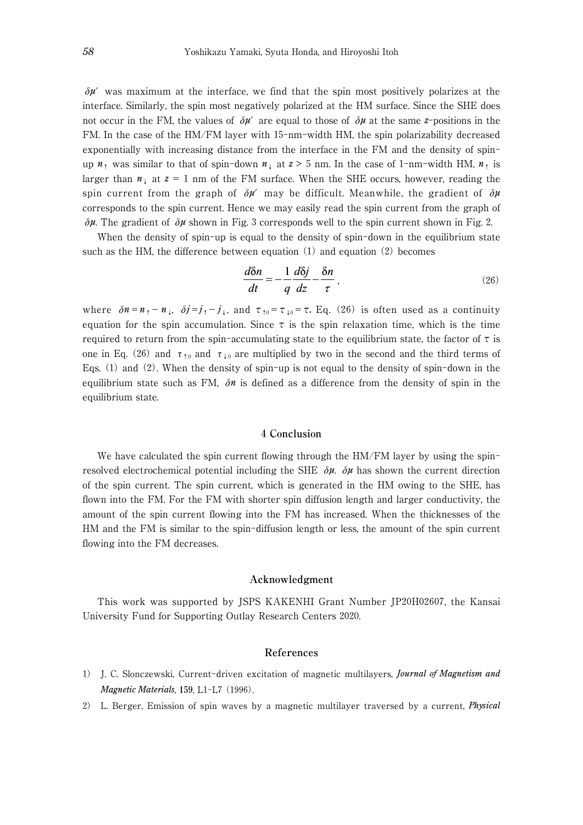$\delta \mu'$  was maximum at the interface, we find that the spin most positively polarizes at the interface. Similarly, the spin most negatively polarized at the HM surface. Since the SHE does not occur in the FM, the values of  $\delta \mu'$  are equal to those of  $\delta \mu$  at the same *z*-positions in the FM. In the case of the HM/FM layer with 15-nm-width HM, the spin polarizability decreased exponentially with increasing distance from the interface in the FM and the density of spinup  $n_1$  was similar to that of spin-down  $n_1$  at  $z > 5$  nm. In the case of 1-nm-width HM,  $n_1$  is larger than  $n_{\perp}$  at  $z = 1$  nm of the FM surface. When the SHE occurs, however, reading the spin current from the graph of  $\delta \mu'$  may be difficult. Meanwhile, the gradient of  $\delta \mu$ corresponds to the spin current. Hence we may easily read the spin current from the graph of δ*μ*. The gradient of δ*μ* shown in Fig. 3 corresponds well to the spin current shown in Fig. 2.

When the density of spin-up is equal to the density of spin-down in the equilibrium state such as the HM, the difference between equation  $(1)$  and equation  $(2)$  becomes

$$
\frac{d\delta n}{dt} = -\frac{1}{q}\frac{d\delta j}{dz} - \frac{\delta n}{\tau},\qquad(26)
$$

where  $\delta n = n_1 - n_1$ ,  $\delta j = j_1 - j_1$ , and  $\tau_{10} = \tau_{10} = \tau$ . Eq. (26) is often used as a continuity equation for the spin accumulation. Since  $\tau$  is the spin relaxation time, which is the time required to return from the spin-accumulating state to the equilibrium state, the factor of  $\tau$  is one in Eq. (26) and  $\tau_{10}$  and  $\tau_{10}$  are multiplied by two in the second and the third terms of Eqs. (1) and (2). When the density of spin-up is not equal to the density of spin-down in the equilibrium state such as FM,  $\delta n$  is defined as a difference from the density of spin in the equilibrium state.

#### 4 **Conclusion**

We have calculated the spin current flowing through the HM/FM layer by using the spinresolved electrochemical potential including the SHE  $\delta\mu$ .  $\delta\mu$  has shown the current direction of the spin current. The spin current, which is generated in the HM owing to the SHE, has flown into the FM. For the FM with shorter spin diffusion length and larger conductivity, the amount of the spin current flowing into the FM has increased. When the thicknesses of the HM and the FM is similar to the spin-diffusion length or less, the amount of the spin current flowing into the FM decreases.

#### **Acknowledgment**

This work was supported by JSPS KAKENHI Grant Number JP20H02607, the Kansai University Fund for Supporting Outlay Research Centers 2020.

### **References**

- 1) J. C. Slonczewski, Current-driven excitation of magnetic multilayers, *Journal of Magnetism and Magnetic Materials*, 159, L1-L7 (1996).
- 2) L. Berger, Emission of spin waves by a magnetic multilayer traversed by a current, *Physical*